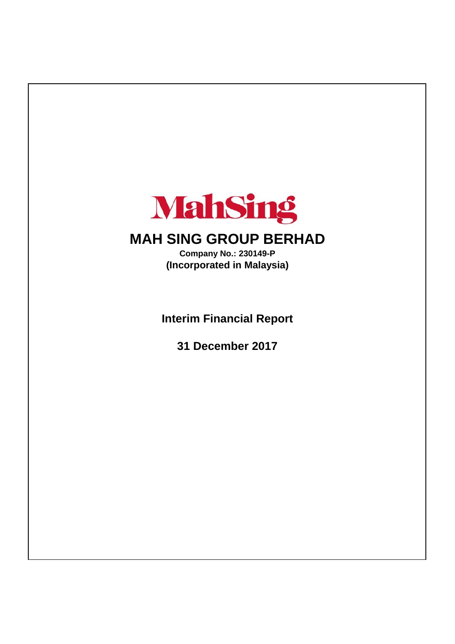

# **MAH SING GROUP BERHAD**

**(Incorporated in Malaysia) Company No.: 230149-P**

**Interim Financial Report**

**31 December 2017**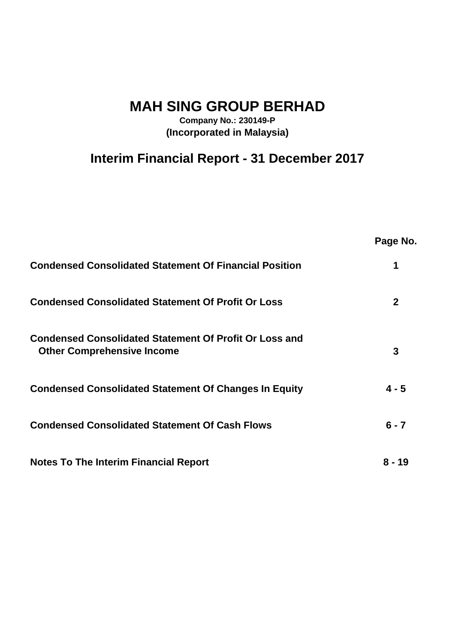**MAH SING GROUP BERHAD**

**Company No.: 230149-P (Incorporated in Malaysia)**

# **Interim Financial Report - 31 December 2017**

|                                                                                                    | Page No.     |
|----------------------------------------------------------------------------------------------------|--------------|
| <b>Condensed Consolidated Statement Of Financial Position</b>                                      |              |
| <b>Condensed Consolidated Statement Of Profit Or Loss</b>                                          | $\mathbf{2}$ |
| <b>Condensed Consolidated Statement Of Profit Or Loss and</b><br><b>Other Comprehensive Income</b> | 3            |
| <b>Condensed Consolidated Statement Of Changes In Equity</b>                                       | $4 - 5$      |
| <b>Condensed Consolidated Statement Of Cash Flows</b>                                              | $6 - 7$      |
| <b>Notes To The Interim Financial Report</b>                                                       | 8 - 19       |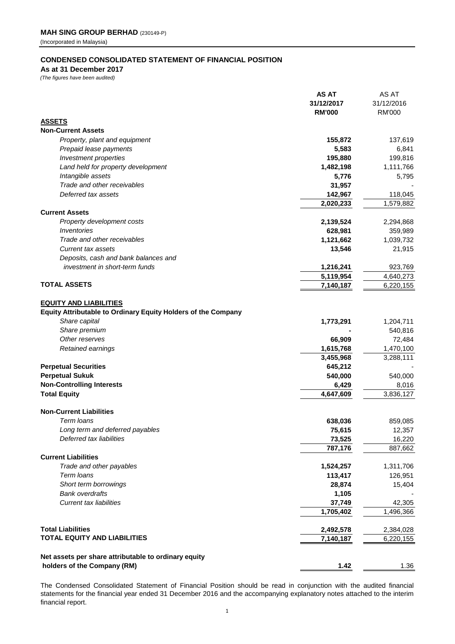# **CONDENSED CONSOLIDATED STATEMENT OF FINANCIAL POSITION**

**As at 31 December 2017**

*(The figures have been audited)*

|                                                               | <b>AS AT</b>                | AS AT                       |
|---------------------------------------------------------------|-----------------------------|-----------------------------|
|                                                               | 31/12/2017<br><b>RM'000</b> | 31/12/2016<br><b>RM'000</b> |
| <b>ASSETS</b>                                                 |                             |                             |
| <b>Non-Current Assets</b>                                     |                             |                             |
| Property, plant and equipment                                 | 155,872                     | 137,619                     |
| Prepaid lease payments                                        | 5,583                       | 6,841                       |
| Investment properties                                         | 195,880                     | 199,816                     |
| Land held for property development                            | 1,482,198                   | 1,111,766                   |
| Intangible assets                                             | 5,776                       | 5,795                       |
| Trade and other receivables                                   | 31,957                      |                             |
| Deferred tax assets                                           | 142,967                     | 118,045                     |
|                                                               | 2,020,233                   | 1,579,882                   |
| <b>Current Assets</b>                                         |                             |                             |
| Property development costs                                    | 2,139,524                   | 2,294,868                   |
| Inventories                                                   | 628,981                     | 359,989                     |
| Trade and other receivables                                   | 1,121,662                   | 1,039,732                   |
| <b>Current tax assets</b>                                     | 13,546                      | 21,915                      |
| Deposits, cash and bank balances and                          |                             |                             |
| investment in short-term funds                                | 1,216,241                   | 923,769                     |
|                                                               | 5,119,954                   | 4,640,273                   |
| <b>TOTAL ASSETS</b>                                           | 7,140,187                   | 6,220,155                   |
|                                                               |                             |                             |
| <b>EQUITY AND LIABILITIES</b>                                 |                             |                             |
| Equity Attributable to Ordinary Equity Holders of the Company |                             |                             |
| Share capital                                                 | 1,773,291                   | 1,204,711                   |
| Share premium                                                 |                             | 540,816                     |
| Other reserves                                                | 66,909                      | 72,484                      |
| Retained earnings                                             | 1,615,768                   | 1,470,100                   |
|                                                               | 3,455,968                   | 3,288,111                   |
| <b>Perpetual Securities</b>                                   | 645,212                     |                             |
| <b>Perpetual Sukuk</b>                                        | 540,000                     | 540,000                     |
| <b>Non-Controlling Interests</b>                              | 6,429                       | 8,016                       |
| <b>Total Equity</b>                                           | 4,647,609                   | 3,836,127                   |
|                                                               |                             |                             |
| <b>Non-Current Liabilities</b>                                |                             |                             |
| Term Ioans                                                    | 638,036                     | 859,085                     |
| Long term and deferred payables                               | 75,615                      | 12,357                      |
| Deferred tax liabilities                                      | 73,525                      | 16,220                      |
|                                                               | 787,176                     | 887,662                     |
| <b>Current Liabilities</b>                                    |                             |                             |
| Trade and other payables                                      | 1,524,257                   | 1,311,706                   |
| Term loans                                                    | 113,417                     | 126,951                     |
| Short term borrowings                                         | 28,874                      | 15,404                      |
| <b>Bank overdrafts</b>                                        | 1,105                       |                             |
| <b>Current tax liabilities</b>                                | 37,749                      | 42,305                      |
|                                                               | 1,705,402                   | 1,496,366                   |
|                                                               |                             |                             |
| <b>Total Liabilities</b>                                      | 2,492,578                   | 2,384,028                   |
| <b>TOTAL EQUITY AND LIABILITIES</b>                           | 7,140,187                   |                             |
|                                                               |                             | 6,220,155                   |
| Net assets per share attributable to ordinary equity          |                             |                             |
| holders of the Company (RM)                                   | 1.42                        | 1.36                        |
|                                                               |                             |                             |

The Condensed Consolidated Statement of Financial Position should be read in conjunction with the audited financial statements for the financial year ended 31 December 2016 and the accompanying explanatory notes attached to the interim financial report.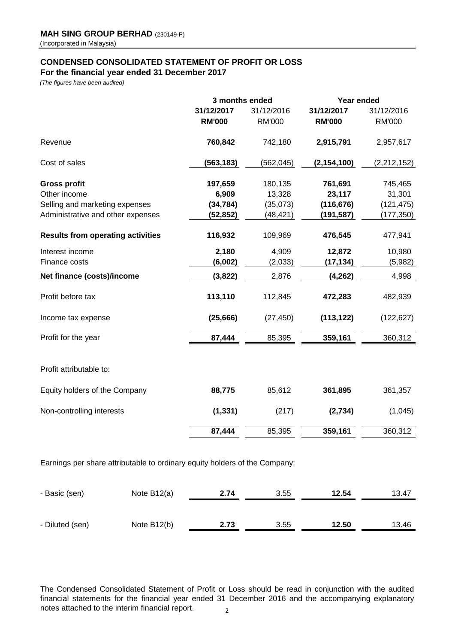# **CONDENSED CONSOLIDATED STATEMENT OF PROFIT OR LOSS**

**For the financial year ended 31 December 2017**

*(The figures have been audited)*

|                                          | 3 months ended              |                             | Year ended                  |                             |  |
|------------------------------------------|-----------------------------|-----------------------------|-----------------------------|-----------------------------|--|
|                                          | 31/12/2017<br><b>RM'000</b> | 31/12/2016<br><b>RM'000</b> | 31/12/2017<br><b>RM'000</b> | 31/12/2016<br><b>RM'000</b> |  |
| Revenue                                  | 760,842                     | 742,180                     | 2,915,791                   | 2,957,617                   |  |
| Cost of sales                            | (563, 183)                  | (562, 045)                  | (2, 154, 100)               | (2, 212, 152)               |  |
| <b>Gross profit</b>                      | 197,659                     | 180,135                     | 761,691                     | 745,465                     |  |
| Other income                             | 6,909                       | 13,328                      | 23,117                      | 31,301                      |  |
| Selling and marketing expenses           | (34, 784)                   | (35,073)                    | (116, 676)                  | (121, 475)                  |  |
| Administrative and other expenses        | (52, 852)                   | (48, 421)                   | (191, 587)                  | (177, 350)                  |  |
| <b>Results from operating activities</b> | 116,932                     | 109,969                     | 476,545                     | 477,941                     |  |
| Interest income                          | 2,180                       | 4,909                       | 12,872                      | 10,980                      |  |
| Finance costs                            | (6,002)                     | (2,033)                     | (17, 134)                   | (5,982)                     |  |
| Net finance (costs)/income               | (3,822)                     | 2,876                       | (4, 262)                    | 4,998                       |  |
| Profit before tax                        | 113,110                     | 112,845                     | 472,283                     | 482,939                     |  |
| Income tax expense                       | (25, 666)                   | (27, 450)                   | (113, 122)                  | (122, 627)                  |  |
| Profit for the year                      | 87,444                      | 85,395                      | 359,161                     | 360,312                     |  |
| Profit attributable to:                  |                             |                             |                             |                             |  |
| Equity holders of the Company            | 88,775                      | 85,612                      | 361,895                     | 361,357                     |  |
| Non-controlling interests                | (1, 331)                    | (217)                       | (2,734)                     | (1,045)                     |  |
|                                          | 87,444                      | 85,395                      | 359,161                     | 360,312                     |  |
|                                          |                             |                             |                             |                             |  |

Earnings per share attributable to ordinary equity holders of the Company:

| - Basic (sen)   | Note $B12(a)$ | 2.74 | 3.55 | 12.54 | 13.47 |
|-----------------|---------------|------|------|-------|-------|
|                 |               |      |      |       |       |
| - Diluted (sen) | Note B12(b)   | 2.73 | 3.55 | 12.50 | 13.46 |

The Condensed Consolidated Statement of Profit or Loss should be read in conjunction with the audited financial statements for the financial year ended 31 December 2016 and the accompanying explanatory notes attached to the interim financial report. 2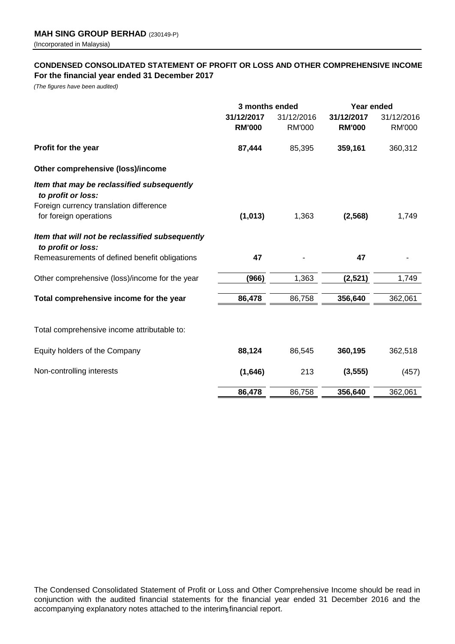# **CONDENSED CONSOLIDATED STATEMENT OF PROFIT OR LOSS AND OTHER COMPREHENSIVE INCOME For the financial year ended 31 December 2017**

*(The figures have been audited)*

|                                                                       | 3 months ended              |                             | Year ended                  |                             |
|-----------------------------------------------------------------------|-----------------------------|-----------------------------|-----------------------------|-----------------------------|
|                                                                       | 31/12/2017<br><b>RM'000</b> | 31/12/2016<br><b>RM'000</b> | 31/12/2017<br><b>RM'000</b> | 31/12/2016<br><b>RM'000</b> |
| Profit for the year                                                   | 87,444                      | 85,395                      | 359,161                     | 360,312                     |
| Other comprehensive (loss)/income                                     |                             |                             |                             |                             |
| Item that may be reclassified subsequently<br>to profit or loss:      |                             |                             |                             |                             |
| Foreign currency translation difference<br>for foreign operations     | (1,013)                     | 1,363                       | (2, 568)                    | 1,749                       |
| Item that will not be reclassified subsequently<br>to profit or loss: |                             |                             |                             |                             |
| Remeasurements of defined benefit obligations                         | 47                          |                             | 47                          |                             |
| Other comprehensive (loss)/income for the year                        | (966)                       | 1,363                       | (2,521)                     | 1,749                       |
| Total comprehensive income for the year                               | 86,478                      | 86,758                      | 356,640                     | 362,061                     |
| Total comprehensive income attributable to:                           |                             |                             |                             |                             |
| Equity holders of the Company                                         | 88,124                      | 86,545                      | 360,195                     | 362,518                     |
| Non-controlling interests                                             | (1,646)                     | 213                         | (3, 555)                    | (457)                       |
|                                                                       | 86,478                      | 86,758                      | 356,640                     | 362,061                     |

The Condensed Consolidated Statement of Profit or Loss and Other Comprehensive Income should be read in conjunction with the audited financial statements for the financial year ended 31 December 2016 and the accompanying explanatory notes attached to the interimatinancial report.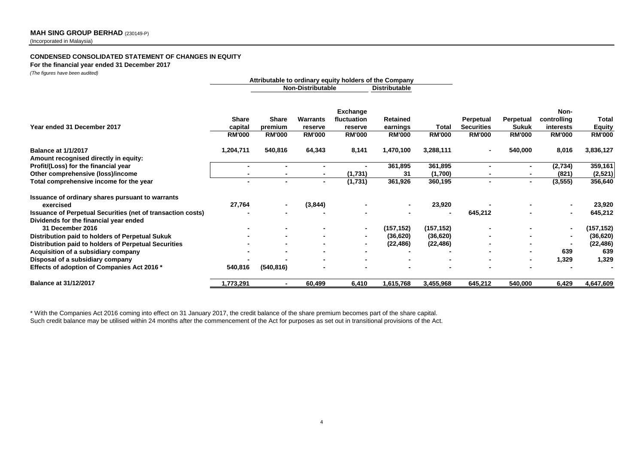#### **CONDENSED CONSOLIDATED STATEMENT OF CHANGES IN EQUITY**

**For the financial year ended 31 December 2017**

*(The figures have been audited)*

|                                                                                                              | Attributable to ordinary equity holders of the Company |                                          |                                             |                                                     |                                              |                        |                                                 |                                            |                                                   |                                         |
|--------------------------------------------------------------------------------------------------------------|--------------------------------------------------------|------------------------------------------|---------------------------------------------|-----------------------------------------------------|----------------------------------------------|------------------------|-------------------------------------------------|--------------------------------------------|---------------------------------------------------|-----------------------------------------|
|                                                                                                              |                                                        |                                          | <b>Non-Distributable</b>                    |                                                     | <b>Distributable</b>                         |                        |                                                 |                                            |                                                   |                                         |
| Year ended 31 December 2017                                                                                  | <b>Share</b><br>capital<br><b>RM'000</b>               | <b>Share</b><br>premium<br><b>RM'000</b> | <b>Warrants</b><br>reserve<br><b>RM'000</b> | Exchange<br>fluctuation<br>reserve<br><b>RM'000</b> | <b>Retained</b><br>earnings<br><b>RM'000</b> | Total<br><b>RM'000</b> | Perpetual<br><b>Securities</b><br><b>RM'000</b> | Perpetual<br><b>Sukuk</b><br><b>RM'000</b> | Non-<br>controlling<br>interests<br><b>RM'000</b> | Total<br><b>Equity</b><br><b>RM'000</b> |
|                                                                                                              |                                                        |                                          |                                             |                                                     |                                              |                        |                                                 |                                            |                                                   |                                         |
| <b>Balance at 1/1/2017</b>                                                                                   | 1,204,711                                              | 540,816                                  | 64,343                                      | 8,141                                               | 1,470,100                                    | 3,288,111              |                                                 | 540,000                                    | 8,016                                             | 3,836,127                               |
| Amount recognised directly in equity:<br>Profit/(Loss) for the financial year                                |                                                        |                                          |                                             |                                                     | 361,895                                      | 361,895                |                                                 | ٠                                          | (2,734)                                           | 359,161                                 |
| Other comprehensive (loss)/income                                                                            |                                                        |                                          |                                             | (1,731)                                             | 31                                           | (1,700)                |                                                 |                                            | (821)                                             | (2,521)                                 |
| Total comprehensive income for the year                                                                      |                                                        |                                          | ٠                                           | (1,731)                                             | 361,926                                      | 360,195                |                                                 | $\blacksquare$                             | (3, 555)                                          | 356,640                                 |
| Issuance of ordinary shares pursuant to warrants                                                             |                                                        |                                          |                                             |                                                     |                                              |                        |                                                 |                                            |                                                   |                                         |
| exercised                                                                                                    | 27,764                                                 |                                          | (3,844)                                     |                                                     |                                              | 23,920                 |                                                 |                                            |                                                   | 23,920                                  |
| <b>Issuance of Perpetual Securities (net of transaction costs)</b><br>Dividends for the financial year ended |                                                        |                                          |                                             |                                                     |                                              |                        | 645,212                                         |                                            |                                                   | 645,212                                 |
| 31 December 2016                                                                                             |                                                        |                                          |                                             |                                                     | (157, 152)                                   | (157, 152)             |                                                 |                                            | $\blacksquare$                                    | (157,152)                               |
| Distribution paid to holders of Perpetual Sukuk                                                              |                                                        |                                          |                                             | $\blacksquare$                                      | (36, 620)                                    | (36, 620)              |                                                 |                                            |                                                   | (36, 620)                               |
| Distribution paid to holders of Perpetual Securities                                                         |                                                        |                                          |                                             |                                                     | (22, 486)                                    | (22, 486)              |                                                 |                                            |                                                   | (22, 486)                               |
| Acquisition of a subsidiary company                                                                          |                                                        |                                          |                                             |                                                     |                                              |                        |                                                 |                                            | 639                                               | 639                                     |
| Disposal of a subsidiary company                                                                             |                                                        |                                          |                                             |                                                     |                                              |                        |                                                 |                                            | 1,329                                             | 1,329                                   |
| Effects of adoption of Companies Act 2016 *                                                                  | 540,816                                                | (540, 816)                               |                                             |                                                     |                                              |                        |                                                 |                                            |                                                   |                                         |
| <b>Balance at 31/12/2017</b>                                                                                 | 1,773,291                                              | $\blacksquare$                           | 60,499                                      | 6,410                                               | 1,615,768                                    | 3,455,968              | 645,212                                         | 540,000                                    | 6,429                                             | 4,647,609                               |

Such credit balance may be utilised within 24 months after the commencement of the Act for purposes as set out in transitional provisions of the Act. \* With the Companies Act 2016 coming into effect on 31 January 2017, the credit balance of the share premium becomes part of the share capital.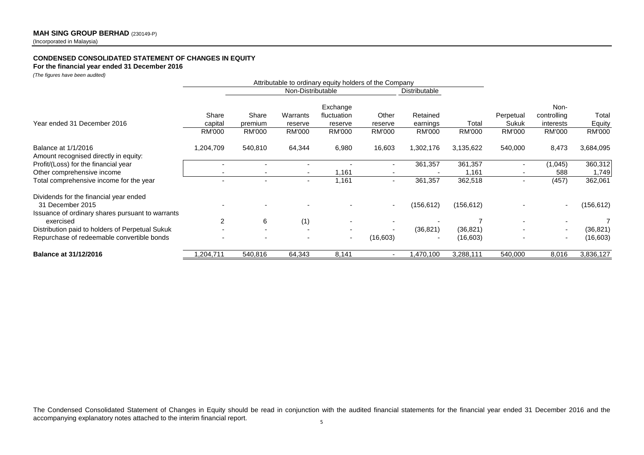# **CONDENSED CONSOLIDATED STATEMENT OF CHANGES IN EQUITY**

**For the financial year ended 31 December 2016**

*(The figures have been audited)*

| $(1.15.19)$ $(0.1010)$ $(0.0011)$ $(0.0011)$                  |                          |               |                                                                             |               |                          |               |               |               |                          |               |
|---------------------------------------------------------------|--------------------------|---------------|-----------------------------------------------------------------------------|---------------|--------------------------|---------------|---------------|---------------|--------------------------|---------------|
|                                                               |                          |               | Attributable to ordinary equity holders of the Company<br>Non-Distributable |               |                          | Distributable |               |               |                          |               |
|                                                               |                          |               |                                                                             | Exchange      |                          |               |               |               | Non-                     |               |
|                                                               | Share                    | Share         | Warrants                                                                    | fluctuation   | Other                    | Retained      |               | Perpetual     | controlling              | Total         |
| Year ended 31 December 2016                                   | capital                  | premium       | reserve                                                                     | reserve       | reserve                  | earnings      | Total         | Sukuk         | interests                | Equity        |
|                                                               | <b>RM'000</b>            | <b>RM'000</b> | <b>RM'000</b>                                                               | <b>RM'000</b> | <b>RM'000</b>            | <b>RM'000</b> | <b>RM'000</b> | <b>RM'000</b> | <b>RM'000</b>            | <b>RM'000</b> |
| Balance at 1/1/2016<br>Amount recognised directly in equity:  | 1,204,709                | 540,810       | 64,344                                                                      | 6,980         | 16,603                   | 1,302,176     | 3,135,622     | 540,000       | 8,473                    | 3,684,095     |
| Profit/(Loss) for the financial year                          |                          |               |                                                                             |               |                          | 361,357       | 361,357       |               | (1,045)                  | 360,312       |
| Other comprehensive income                                    |                          |               |                                                                             | ,161          |                          |               | 1,161         |               | 588                      | 1,749         |
| Total comprehensive income for the year                       | $\overline{\phantom{a}}$ | ٠             | ۰.                                                                          | 1,161         | $\sim$                   | 361,357       | 362,518       | ٠             | (457)                    | 362,061       |
| Dividends for the financial year ended<br>31 December 2015    |                          |               |                                                                             |               | $\overline{\phantom{a}}$ | (156, 612)    | (156, 612)    |               |                          | (156, 612)    |
| Issuance of ordinary shares pursuant to warrants<br>exercised | $\mathcal{P}$            | 6             | (1)                                                                         |               |                          |               |               |               |                          |               |
| Distribution paid to holders of Perpetual Sukuk               |                          | ٠             |                                                                             | ٠             | $\overline{\phantom{a}}$ | (36, 821)     | (36, 821)     |               |                          | (36,821)      |
| Repurchase of redeemable convertible bonds                    |                          |               |                                                                             | $\sim$        | (16,603)                 |               | (16, 603)     |               | $\overline{\phantom{0}}$ | (16,603)      |
| <b>Balance at 31/12/2016</b>                                  | ,204,711                 | 540,816       | 64,343                                                                      | 8,141         |                          | ,470,100      | 3,288,111     | 540,000       | 8,016                    | 3,836,127     |

The Condensed Consolidated Statement of Changes in Equity should be read in conjunction with the audited financial statements for the financial year ended 31 December 2016 and the accompanying explanatory notes attached to the interim financial report.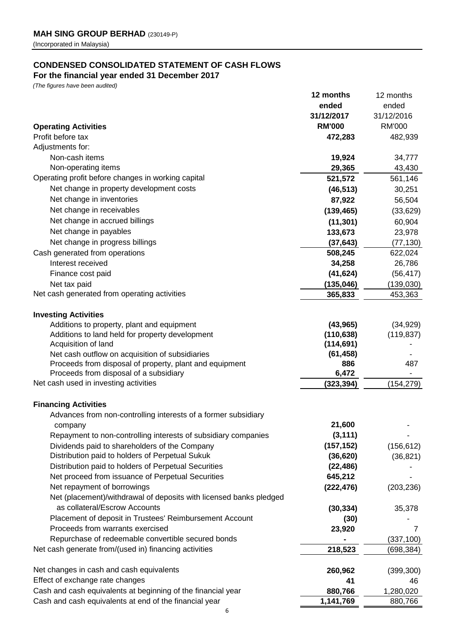# **CONDENSED CONSOLIDATED STATEMENT OF CASH FLOWS**

# **For the financial year ended 31 December 2017**

*(The figures have been audited)*

|                                                                                 | 12 months     | 12 months     |
|---------------------------------------------------------------------------------|---------------|---------------|
|                                                                                 | ended         | ended         |
|                                                                                 | 31/12/2017    | 31/12/2016    |
| <b>Operating Activities</b>                                                     | <b>RM'000</b> | <b>RM'000</b> |
| Profit before tax                                                               | 472,283       | 482,939       |
| Adjustments for:                                                                |               |               |
| Non-cash items                                                                  | 19,924        | 34,777        |
| Non-operating items                                                             | 29,365        | 43,430        |
| Operating profit before changes in working capital                              | 521,572       | 561,146       |
| Net change in property development costs                                        | (46, 513)     | 30,251        |
| Net change in inventories                                                       | 87,922        | 56,504        |
| Net change in receivables                                                       | (139, 465)    | (33, 629)     |
| Net change in accrued billings                                                  | (11, 301)     | 60,904        |
| Net change in payables                                                          | 133,673       | 23,978        |
| Net change in progress billings                                                 | (37, 643)     | (77, 130)     |
| Cash generated from operations                                                  | 508,245       | 622,024       |
| Interest received                                                               | 34,258        | 26,786        |
| Finance cost paid                                                               | (41, 624)     | (56, 417)     |
| Net tax paid                                                                    | (135, 046)    | (139,030)     |
| Net cash generated from operating activities                                    | 365,833       | 453,363       |
|                                                                                 |               |               |
| <b>Investing Activities</b>                                                     |               |               |
| Additions to property, plant and equipment                                      | (43, 965)     | (34, 929)     |
| Additions to land held for property development                                 | (110, 638)    | (119, 837)    |
| Acquisition of land                                                             | (114, 691)    |               |
| Net cash outflow on acquisition of subsidiaries                                 | (61, 458)     |               |
| Proceeds from disposal of property, plant and equipment                         | 886<br>6,472  | 487           |
| Proceeds from disposal of a subsidiary<br>Net cash used in investing activities | (323, 394)    | (154, 279)    |
|                                                                                 |               |               |
| <b>Financing Activities</b>                                                     |               |               |
| Advances from non-controlling interests of a former subsidiary                  |               |               |
| company                                                                         | 21,600        |               |
| Repayment to non-controlling interests of subsidiary companies                  | (3, 111)      |               |
| Dividends paid to shareholders of the Company                                   | (157, 152)    | (156, 612)    |
| Distribution paid to holders of Perpetual Sukuk                                 | (36, 620)     | (36, 821)     |
| Distribution paid to holders of Perpetual Securities                            | (22, 486)     |               |
| Net proceed from issuance of Perpetual Securities                               | 645,212       |               |
| Net repayment of borrowings                                                     | (222, 476)    | (203, 236)    |
| Net (placement)/withdrawal of deposits with licensed banks pledged              |               |               |
| as collateral/Escrow Accounts                                                   | (30, 334)     | 35,378        |
| Placement of deposit in Trustees' Reimbursement Account                         | (30)          |               |
| Proceeds from warrants exercised                                                | 23,920        | 7             |
| Repurchase of redeemable convertible secured bonds                              |               | (337, 100)    |
| Net cash generate from/(used in) financing activities                           | 218,523       | (698, 384)    |
|                                                                                 |               |               |
| Net changes in cash and cash equivalents                                        | 260,962       | (399, 300)    |
| Effect of exchange rate changes                                                 | 41            | 46            |
| Cash and cash equivalents at beginning of the financial year                    | 880,766       | 1,280,020     |
| Cash and cash equivalents at end of the financial year                          | 1,141,769     | 880,766       |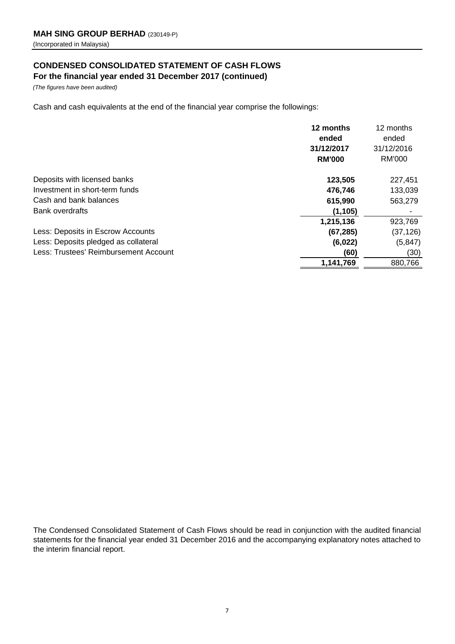# **CONDENSED CONSOLIDATED STATEMENT OF CASH FLOWS**

**For the financial year ended 31 December 2017 (continued)**

*(The figures have been audited)*

Cash and cash equivalents at the end of the financial year comprise the followings:

|                                       | 12 months<br>ended<br>31/12/2017<br><b>RM'000</b> | 12 months<br>ended<br>31/12/2016<br>RM'000 |
|---------------------------------------|---------------------------------------------------|--------------------------------------------|
| Deposits with licensed banks          | 123,505                                           | 227,451                                    |
| Investment in short-term funds        | 476,746                                           | 133,039                                    |
| Cash and bank balances                | 615,990                                           | 563,279                                    |
| <b>Bank overdrafts</b>                | (1, 105)                                          |                                            |
|                                       | 1,215,136                                         | 923,769                                    |
| Less: Deposits in Escrow Accounts     | (67, 285)                                         | (37, 126)                                  |
| Less: Deposits pledged as collateral  | (6,022)                                           | (5, 847)                                   |
| Less: Trustees' Reimbursement Account | (60)                                              | (30)                                       |
|                                       | 1,141,769                                         | 880,766                                    |

The Condensed Consolidated Statement of Cash Flows should be read in conjunction with the audited financial statements for the financial year ended 31 December 2016 and the accompanying explanatory notes attached to the interim financial report.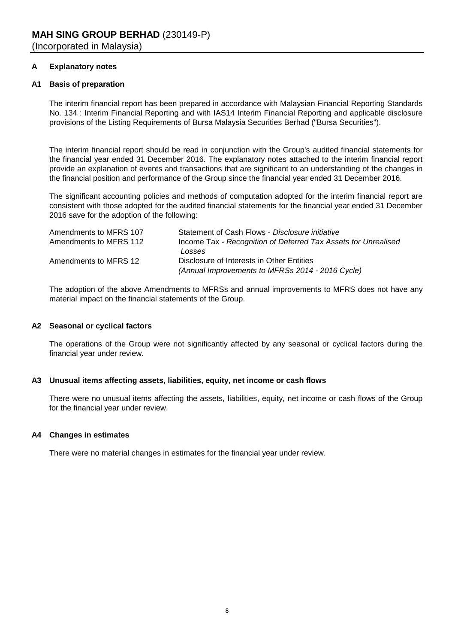# **A Explanatory notes**

# **A1 Basis of preparation**

The interim financial report has been prepared in accordance with Malaysian Financial Reporting Standards No. 134 : Interim Financial Reporting and with IAS14 Interim Financial Reporting and applicable disclosure provisions of the Listing Requirements of Bursa Malaysia Securities Berhad ("Bursa Securities").

The interim financial report should be read in conjunction with the Group's audited financial statements for the financial year ended 31 December 2016. The explanatory notes attached to the interim financial report provide an explanation of events and transactions that are significant to an understanding of the changes in the financial position and performance of the Group since the financial year ended 31 December 2016.

The significant accounting policies and methods of computation adopted for the interim financial report are consistent with those adopted for the audited financial statements for the financial year ended 31 December 2016 save for the adoption of the following:

| Amendments to MFRS 107 | Statement of Cash Flows - Disclosure initiative                |
|------------------------|----------------------------------------------------------------|
| Amendments to MFRS 112 | Income Tax - Recognition of Deferred Tax Assets for Unrealised |
|                        | Losses                                                         |
| Amendments to MFRS 12  | Disclosure of Interests in Other Entities                      |
|                        | (Annual Improvements to MFRSs 2014 - 2016 Cycle)               |

The adoption of the above Amendments to MFRSs and annual improvements to MFRS does not have any material impact on the financial statements of the Group.

# **A2 Seasonal or cyclical factors**

The operations of the Group were not significantly affected by any seasonal or cyclical factors during the financial year under review.

# **A3 Unusual items affecting assets, liabilities, equity, net income or cash flows**

There were no unusual items affecting the assets, liabilities, equity, net income or cash flows of the Group for the financial year under review.

# **A4 Changes in estimates**

There were no material changes in estimates for the financial year under review.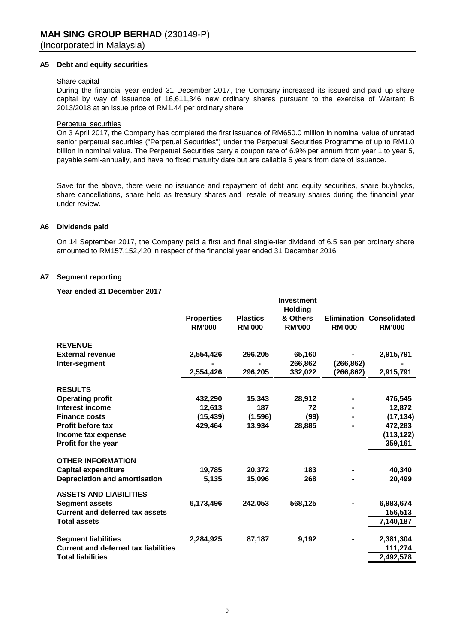#### **A5 Debt and equity securities**

#### Share capital

During the financial year ended 31 December 2017, the Company increased its issued and paid up share capital by way of issuance of 16,611,346 new ordinary shares pursuant to the exercise of Warrant B 2013/2018 at an issue price of RM1.44 per ordinary share.

#### Perpetual securities

On 3 April 2017, the Company has completed the first issuance of RM650.0 million in nominal value of unrated senior perpetual securities ("Perpetual Securities") under the Perpetual Securities Programme of up to RM1.0 billion in nominal value. The Perpetual Securities carry a coupon rate of 6.9% per annum from year 1 to year 5, payable semi-annually, and have no fixed maturity date but are callable 5 years from date of issuance.

Save for the above, there were no issuance and repayment of debt and equity securities, share buybacks, share cancellations, share held as treasury shares and resale of treasury shares during the financial year under review.

#### **A6 Dividends paid**

On 14 September 2017, the Company paid a first and final single-tier dividend of 6.5 sen per ordinary share amounted to RM157,152,420 in respect of the financial year ended 31 December 2016.

#### **A7 Segment reporting**

#### **Year ended 31 December 2017**

|                                             |                                    |                                  | <b>Investment</b><br><b>Holding</b> |               |                                                  |
|---------------------------------------------|------------------------------------|----------------------------------|-------------------------------------|---------------|--------------------------------------------------|
|                                             | <b>Properties</b><br><b>RM'000</b> | <b>Plastics</b><br><b>RM'000</b> | & Others<br><b>RM'000</b>           | <b>RM'000</b> | <b>Elimination Consolidated</b><br><b>RM'000</b> |
| <b>REVENUE</b>                              |                                    |                                  |                                     |               |                                                  |
| <b>External revenue</b>                     | 2,554,426                          | 296,205                          | 65,160                              |               | 2,915,791                                        |
| Inter-segment                               |                                    |                                  | 266,862                             | (266,862)     |                                                  |
|                                             | 2,554,426                          | 296,205                          | 332,022                             | (266,862)     | 2,915,791                                        |
| <b>RESULTS</b>                              |                                    |                                  |                                     |               |                                                  |
| <b>Operating profit</b>                     | 432,290                            | 15,343                           | 28,912                              |               | 476,545                                          |
| <b>Interest income</b>                      | 12,613                             | 187                              | 72                                  |               | 12,872                                           |
| <b>Finance costs</b>                        | (15, 439)                          | (1, 596)                         | (99)                                |               | (17, 134)                                        |
| <b>Profit before tax</b>                    | 429,464                            | 13,934                           | 28,885                              |               | 472,283                                          |
| Income tax expense                          |                                    |                                  |                                     |               | (113,122)                                        |
| Profit for the year                         |                                    |                                  |                                     |               | 359,161                                          |
| <b>OTHER INFORMATION</b>                    |                                    |                                  |                                     |               |                                                  |
| <b>Capital expenditure</b>                  | 19,785                             | 20,372                           | 183                                 |               | 40,340                                           |
| <b>Depreciation and amortisation</b>        | 5,135                              | 15,096                           | 268                                 |               | 20,499                                           |
| <b>ASSETS AND LIABILITIES</b>               |                                    |                                  |                                     |               |                                                  |
| <b>Segment assets</b>                       | 6,173,496                          | 242,053                          | 568,125                             |               | 6,983,674                                        |
| <b>Current and deferred tax assets</b>      |                                    |                                  |                                     |               | 156,513                                          |
| <b>Total assets</b>                         |                                    |                                  |                                     |               | 7,140,187                                        |
|                                             |                                    |                                  |                                     |               |                                                  |
| <b>Segment liabilities</b>                  | 2,284,925                          | 87,187                           | 9,192                               |               | 2,381,304                                        |
| <b>Current and deferred tax liabilities</b> |                                    |                                  |                                     |               | 111,274                                          |
| <b>Total liabilities</b>                    |                                    |                                  |                                     |               | 2,492,578                                        |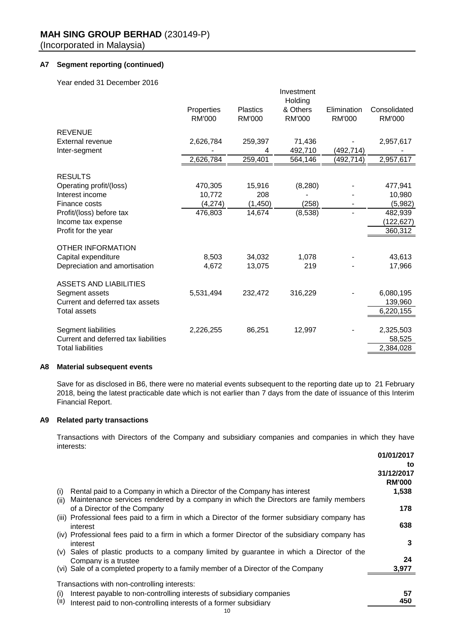# **A7 Segment reporting (continued)**

Year ended 31 December 2016

|                                                 | Properties<br><b>RM'000</b> | <b>Plastics</b><br><b>RM'000</b> | Investment<br>Holding<br>& Others<br><b>RM'000</b> | Elimination<br><b>RM'000</b> | Consolidated<br><b>RM'000</b> |
|-------------------------------------------------|-----------------------------|----------------------------------|----------------------------------------------------|------------------------------|-------------------------------|
| <b>REVENUE</b>                                  |                             |                                  |                                                    |                              |                               |
| External revenue                                | 2,626,784                   | 259,397                          | 71,436                                             |                              | 2,957,617                     |
| Inter-segment                                   |                             | 4                                | 492,710                                            | (492,714)                    |                               |
|                                                 | 2,626,784                   | 259,401                          | 564,146                                            | (492,714)                    | 2,957,617                     |
| <b>RESULTS</b>                                  |                             |                                  |                                                    |                              |                               |
| Operating profit/(loss)                         | 470,305                     | 15,916                           | (8, 280)                                           |                              | 477,941                       |
| Interest income                                 | 10,772                      | 208                              |                                                    |                              | 10,980                        |
| Finance costs                                   | (4, 274)                    | (1, 450)                         | (258)                                              |                              | (5,982)                       |
| Profit/(loss) before tax                        | 476,803                     | 14,674                           | (8,538)                                            |                              | 482,939                       |
| Income tax expense                              |                             |                                  |                                                    |                              | (122,627)                     |
| Profit for the year                             |                             |                                  |                                                    |                              | 360,312                       |
| <b>OTHER INFORMATION</b>                        |                             |                                  |                                                    |                              |                               |
| Capital expenditure                             | 8,503                       | 34,032                           | 1,078                                              |                              | 43,613                        |
| Depreciation and amortisation                   | 4,672                       | 13,075                           | 219                                                |                              | 17,966                        |
|                                                 |                             |                                  |                                                    |                              |                               |
| <b>ASSETS AND LIABILITIES</b><br>Segment assets | 5,531,494                   | 232,472                          | 316,229                                            |                              | 6,080,195                     |
| Current and deferred tax assets                 |                             |                                  |                                                    |                              | 139,960                       |
| <b>Total assets</b>                             |                             |                                  |                                                    |                              | 6,220,155                     |
|                                                 |                             |                                  |                                                    |                              |                               |
| Segment liabilities                             | 2,226,255                   | 86,251                           | 12,997                                             |                              | 2,325,503                     |
| Current and deferred tax liabilities            |                             |                                  |                                                    |                              | 58,525                        |
| <b>Total liabilities</b>                        |                             |                                  |                                                    |                              | 2,384,028                     |

#### **A8 Material subsequent events**

Save for as disclosed in B6, there were no material events subsequent to the reporting date up to 21 February 2018, being the latest practicable date which is not earlier than 7 days from the date of issuance of this Interim Financial Report.

# **A9 Related party transactions**

Transactions with Directors of the Company and subsidiary companies and companies in which they have interests:

|                                                                                                    | 01/01/2017    |
|----------------------------------------------------------------------------------------------------|---------------|
|                                                                                                    | to            |
|                                                                                                    | 31/12/2017    |
|                                                                                                    | <b>RM'000</b> |
| Rental paid to a Company in which a Director of the Company has interest<br>(i)                    | 1,538         |
| Maintenance services rendered by a company in which the Directors are family members<br>(ii)       |               |
| of a Director of the Company                                                                       | 178           |
| Professional fees paid to a firm in which a Director of the former subsidiary company has<br>(III) |               |
| interest                                                                                           | 638           |
| (iv) Professional fees paid to a firm in which a former Director of the subsidiary company has     |               |
| interest                                                                                           | 3             |
| Sales of plastic products to a company limited by guarantee in which a Director of the<br>(V)      |               |
| Company is a trustee                                                                               | 24            |
| (vi) Sale of a completed property to a family member of a Director of the Company                  | 3,977         |
|                                                                                                    |               |
| Transactions with non-controlling interests:                                                       |               |
| Interest payable to non-controlling interests of subsidiary companies<br>(i)                       | 57            |
| (II)<br>Interest paid to non-controlling interests of a former subsidiary                          | 450           |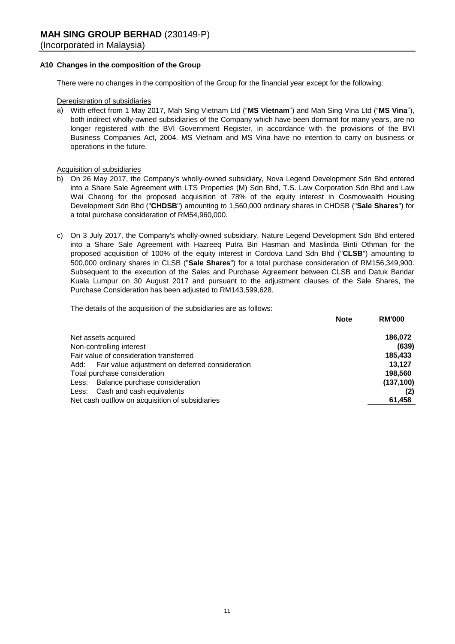# **A10 Changes in the composition of the Group**

There were no changes in the composition of the Group for the financial year except for the following:

# Deregistration of subsidiaries

a) With effect from 1 May 2017, Mah Sing Vietnam Ltd ("**MS Vietnam**") and Mah Sing Vina Ltd ("**MS Vina**"), both indirect wholly-owned subsidiaries of the Company which have been dormant for many years, are no longer registered with the BVI Government Register, in accordance with the provisions of the BVI Business Companies Act, 2004. MS Vietnam and MS Vina have no intention to carry on business or operations in the future.

# Acquisition of subsidiaries

- b) On 26 May 2017, the Company's wholly-owned subsidiary, Nova Legend Development Sdn Bhd entered into a Share Sale Agreement with LTS Properties (M) Sdn Bhd, T.S. Law Corporation Sdn Bhd and Law Wai Cheong for the proposed acquisition of 78% of the equity interest in Cosmowealth Housing Development Sdn Bhd ("**CHDSB**") amounting to 1,560,000 ordinary shares in CHDSB ("**Sale Shares**") for a total purchase consideration of RM54,960,000.
- c) On 3 July 2017, the Company's wholly-owned subsidiary, Nature Legend Development Sdn Bhd entered into a Share Sale Agreement with Hazreeq Putra Bin Hasman and Maslinda Binti Othman for the proposed acquisition of 100% of the equity interest in Cordova Land Sdn Bhd ("**CLSB**") amounting to 500,000 ordinary shares in CLSB ("**Sale Shares**") for a total purchase consideration of RM156,349,900. Subsequent to the execution of the Sales and Purchase Agreement between CLSB and Datuk Bandar Kuala Lumpur on 30 August 2017 and pursuant to the adjustment clauses of the Sale Shares, the Purchase Consideration has been adjusted to RM143,599,628.

The details of the acquisition of the subsidiaries are as follows:

| <b>Note</b>                                          | <b>RM'000</b> |
|------------------------------------------------------|---------------|
| Net assets acquired                                  | 186,072       |
| Non-controlling interest                             | (639)         |
| Fair value of consideration transferred              | 185.433       |
| Add: Fair value adjustment on deferred consideration | 13,127        |
| Total purchase consideration                         | 198,560       |
| Less: Balance purchase consideration                 | (137, 100)    |
| Less: Cash and cash equivalents                      | (2)           |
| Net cash outflow on acquisition of subsidiaries      | 61,458        |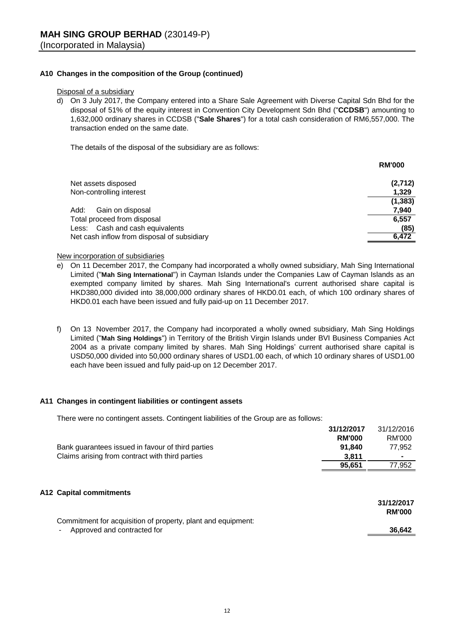# **A10 Changes in the composition of the Group (continued)**

Disposal of a subsidiary

d) On 3 July 2017, the Company entered into a Share Sale Agreement with Diverse Capital Sdn Bhd for the disposal of 51% of the equity interest in Convention City Development Sdn Bhd ("**CCDSB**") amounting to 1,632,000 ordinary shares in CCDSB ("**Sale Shares**") for a total cash consideration of RM6,557,000. The transaction ended on the same date.

The details of the disposal of the subsidiary are as follows:

|                                             | <b>RM'000</b> |
|---------------------------------------------|---------------|
| Net assets disposed                         | (2,712)       |
| Non-controlling interest                    | 1,329         |
|                                             | (1, 383)      |
| Add:<br>Gain on disposal                    | 7,940         |
| Total proceed from disposal                 | 6,557         |
| Less: Cash and cash equivalents             | (85)          |
| Net cash inflow from disposal of subsidiary | 6.472         |

#### New incorporation of subsidiaries

- e) On 11 December 2017, the Company had incorporated a wholly owned subsidiary, Mah Sing International Limited ("**Mah Sing International**") in Cayman Islands under the Companies Law of Cayman Islands as an exempted company limited by shares. Mah Sing International's current authorised share capital is HKD380,000 divided into 38,000,000 ordinary shares of HKD0.01 each, of which 100 ordinary shares of HKD0.01 each have been issued and fully paid-up on 11 December 2017.
- f) On 13 November 2017, the Company had incorporated a wholly owned subsidiary, Mah Sing Holdings Limited ("**Mah Sing Holdings**") in Territory of the British Virgin Islands under BVI Business Companies Act 2004 as a private company limited by shares. Mah Sing Holdings' current authorised share capital is USD50,000 divided into 50,000 ordinary shares of USD1.00 each, of which 10 ordinary shares of USD1.00 each have been issued and fully paid-up on 12 December 2017.

#### **A11 Changes in contingent liabilities or contingent assets**

There were no contingent assets. Contingent liabilities of the Group are as follows:

|                                                                                         | 31/12/2017    | 31/12/2016                  |
|-----------------------------------------------------------------------------------------|---------------|-----------------------------|
|                                                                                         | <b>RM'000</b> | RM'000                      |
| Bank guarantees issued in favour of third parties                                       | 91.840        | 77,952                      |
| Claims arising from contract with third parties                                         | 3.811         |                             |
|                                                                                         | 95,651        | 77,952                      |
| A12 Capital commitments<br>Commitment for acquisition of property, plant and equipment: |               | 31/12/2017<br><b>RM'000</b> |
| Approved and contracted for                                                             |               | 36.642                      |
|                                                                                         |               |                             |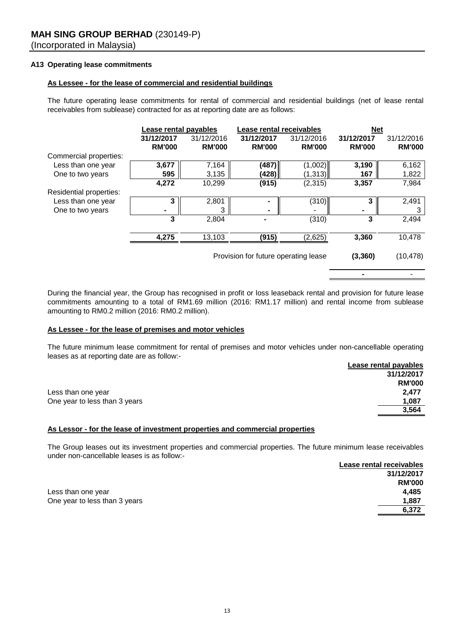# **A13 Operating lease commitments**

# **As Lessee - for the lease of commercial and residential buildings**

The future operating lease commitments for rental of commercial and residential buildings (net of lease rental receivables from sublease) contracted for as at reporting date are as follows:

|                         | Lease rental payables |               | Lease rental receivables             |               | <b>Net</b>    |               |
|-------------------------|-----------------------|---------------|--------------------------------------|---------------|---------------|---------------|
|                         | 31/12/2017            | 31/12/2016    | 31/12/2017                           | 31/12/2016    | 31/12/2017    | 31/12/2016    |
|                         | <b>RM'000</b>         | <b>RM'000</b> | <b>RM'000</b>                        | <b>RM'000</b> | <b>RM'000</b> | <b>RM'000</b> |
| Commercial properties:  |                       |               |                                      |               |               |               |
| Less than one year      | 3,677                 | 7,164         | (487)                                | (1,002)       | 3,190         | 6,162         |
| One to two years        | 595                   | 3,135         | (428)                                | (1, 313)      | 167           | 1,822         |
|                         | 4,272                 | 10,299        | (915)                                | (2,315)       | 3,357         | 7,984         |
| Residential properties: |                       |               |                                      |               |               |               |
| Less than one year      | 3                     | 2,801         |                                      | (310)         | 3             | 2,491         |
| One to two years        | ۰                     | 3             | ۰                                    |               |               | 3             |
|                         | 3                     | 2,804         |                                      | (310)         | 3             | 2,494         |
|                         |                       |               |                                      |               |               |               |
|                         | 4,275                 | 13,103        | (915)                                | (2,625)       | 3,360         | 10,478        |
|                         |                       |               |                                      |               |               |               |
|                         |                       |               | Provision for future operating lease |               | (3, 360)      | (10, 478)     |

During the financial year, the Group has recognised in profit or loss leaseback rental and provision for future lease commitments amounting to a total of RM1.69 million (2016: RM1.17 million) and rental income from sublease amounting to RM0.2 million (2016: RM0.2 million).

 *-* -<sup>1</sup> -<sup>1</sup> -<sup>1</sup> -<sup>1</sup>

#### **As Lessee - for the lease of premises and motor vehicles**

**Lease rental payables** The future minimum lease commitment for rental of premises and motor vehicles under non-cancellable operating leases as at reporting date are as follow:-

|                               | Lease Terital payables |
|-------------------------------|------------------------|
|                               | 31/12/2017             |
|                               | <b>RM'000</b>          |
| Less than one year            | 2.477                  |
| One year to less than 3 years | 1,087                  |
|                               | 3.564                  |

#### **As Lessor - for the lease of investment properties and commercial properties**

The Group leases out its investment properties and commercial properties. The future minimum lease receivables under non-cancellable leases is as follow:-

|                               | Lease rental receivables |
|-------------------------------|--------------------------|
|                               | 31/12/2017               |
|                               | <b>RM'000</b>            |
| Less than one year            | 4.485                    |
| One year to less than 3 years | 1,887                    |
|                               | 6.372                    |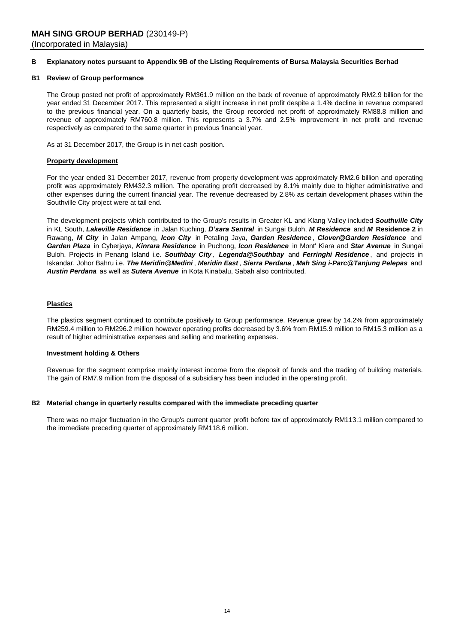#### **B Explanatory notes pursuant to Appendix 9B of the Listing Requirements of Bursa Malaysia Securities Berhad**

#### **B1 Review of Group performance**

The Group posted net profit of approximately RM361.9 million on the back of revenue of approximately RM2.9 billion for the year ended 31 December 2017. This represented a slight increase in net profit despite a 1.4% decline in revenue compared to the previous financial year. On a quarterly basis, the Group recorded net profit of approximately RM88.8 million and revenue of approximately RM760.8 million. This represents a 3.7% and 2.5% improvement in net profit and revenue respectively as compared to the same quarter in previous financial year.

As at 31 December 2017, the Group is in net cash position.

#### **Property development**

For the year ended 31 December 2017, revenue from property development was approximately RM2.6 billion and operating profit was approximately RM432.3 million. The operating profit decreased by 8.1% mainly due to higher administrative and other expenses during the current financial year. The revenue decreased by 2.8% as certain development phases within the Southville City project were at tail end.

The development projects which contributed to the Group's results in Greater KL and Klang Valley included *Southville City* in KL South, *Lakeville Residence* in Jalan Kuching, *D'sara Sentral* in Sungai Buloh, *M Residence* and *M* **Residence 2** in Rawang, *M City* in Jalan Ampang, *Icon City* in Petaling Jaya, *Garden Residence* , *Clover@Garden Residence* and *Garden Plaza* in Cyberjaya, *Kinrara Residence* in Puchong, *Icon Residence* in Mont' Kiara and *Star Avenue* in Sungai Buloh. Projects in Penang Island i.e. *Southbay City , Legenda@Southbay* and *Ferringhi Residence* , and projects in Iskandar, Johor Bahru i.e. *The Meridin@Medini* , *Meridin East* , *Sierra Perdana* , *Mah Sing i-Parc@Tanjung Pelepas* and *Austin Perdana* as well as *Sutera Avenue* in Kota Kinabalu, Sabah also contributed.

#### **Plastics**

The plastics segment continued to contribute positively to Group performance. Revenue grew by 14.2% from approximately RM259.4 million to RM296.2 million however operating profits decreased by 3.6% from RM15.9 million to RM15.3 million as a result of higher administrative expenses and selling and marketing expenses.

#### **Investment holding & Others**

Revenue for the segment comprise mainly interest income from the deposit of funds and the trading of building materials. The gain of RM7.9 million from the disposal of a subsidiary has been included in the operating profit.

#### **B2 Material change in quarterly results compared with the immediate preceding quarter**

There was no major fluctuation in the Group's current quarter profit before tax of approximately RM113.1 million compared to the immediate preceding quarter of approximately RM118.6 million.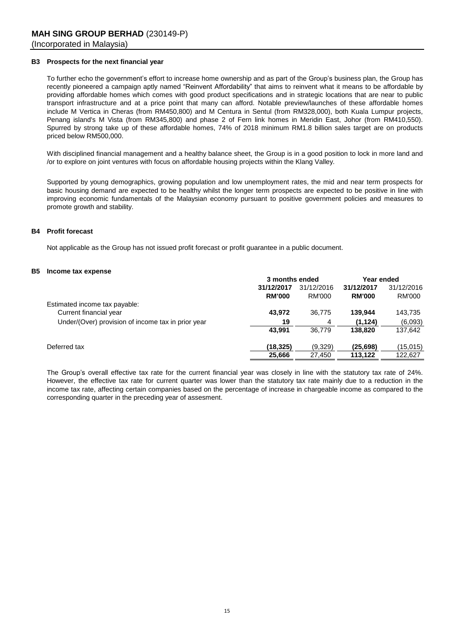#### **B3 Prospects for the next financial year**

To further echo the government's effort to increase home ownership and as part of the Group's business plan, the Group has recently pioneered a campaign aptly named "Reinvent Affordability" that aims to reinvent what it means to be affordable by providing affordable homes which comes with good product specifications and in strategic locations that are near to public transport infrastructure and at a price point that many can afford. Notable preview/launches of these affordable homes include M Vertica in Cheras (from RM450,800) and M Centura in Sentul (from RM328,000), both Kuala Lumpur projects, Penang island's M Vista (from RM345,800) and phase 2 of Fern link homes in Meridin East, Johor (from RM410,550). Spurred by strong take up of these affordable homes, 74% of 2018 minimum RM1.8 billion sales target are on products priced below RM500,000.

With disciplined financial management and a healthy balance sheet, the Group is in a good position to lock in more land and /or to explore on joint ventures with focus on affordable housing projects within the Klang Valley.

Supported by young demographics, growing population and low unemployment rates, the mid and near term prospects for basic housing demand are expected to be healthy whilst the longer term prospects are expected to be positive in line with improving economic fundamentals of the Malaysian economy pursuant to positive government policies and measures to promote growth and stability.

#### **B4 Profit forecast**

Not applicable as the Group has not issued profit forecast or profit guarantee in a public document.

#### **B5 Income tax expense**

|                                                    | 3 months ended |            | Year ended    |            |
|----------------------------------------------------|----------------|------------|---------------|------------|
|                                                    | 31/12/2017     | 31/12/2016 | 31/12/2017    | 31/12/2016 |
|                                                    | <b>RM'000</b>  | RM'000     | <b>RM'000</b> | RM'000     |
| Estimated income tax payable:                      |                |            |               |            |
| Current financial year                             | 43.972         | 36.775     | 139.944       | 143,735    |
| Under/(Over) provision of income tax in prior year | 19             | 4          | (1, 124)      | (6,093)    |
|                                                    | 43.991         | 36.779     | 138,820       | 137,642    |
| Deferred tax                                       | (18,325)       | (9,329)    | (25, 698)     | (15, 015)  |
|                                                    | 25.666         | 27.450     | 113.122       | 122.627    |

The Group's overall effective tax rate for the current financial year was closely in line with the statutory tax rate of 24%. However, the effective tax rate for current quarter was lower than the statutory tax rate mainly due to a reduction in the income tax rate, affecting certain companies based on the percentage of increase in chargeable income as compared to the corresponding quarter in the preceding year of assesment.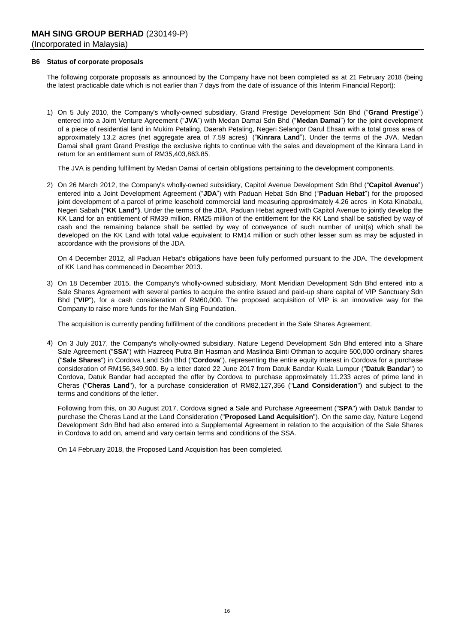#### **B6 Status of corporate proposals**

The following corporate proposals as announced by the Company have not been completed as at 21 February 2018 (being the latest practicable date which is not earlier than 7 days from the date of issuance of this Interim Financial Report):

1) On 5 July 2010, the Company's wholly-owned subsidiary, Grand Prestige Development Sdn Bhd ("**Grand Prestige**") entered into a Joint Venture Agreement ("**JVA**") with Medan Damai Sdn Bhd ("**Medan Damai**") for the joint development of a piece of residential land in Mukim Petaling, Daerah Petaling, Negeri Selangor Darul Ehsan with a total gross area of approximately 13.2 acres (net aggregate area of 7.59 acres) ("**Kinrara Land**"). Under the terms of the JVA, Medan Damai shall grant Grand Prestige the exclusive rights to continue with the sales and development of the Kinrara Land in return for an entitlement sum of RM35,403,863.85.

The JVA is pending fulfilment by Medan Damai of certain obligations pertaining to the development components.

2) On 26 March 2012, the Company's wholly-owned subsidiary, Capitol Avenue Development Sdn Bhd ("**Capitol Avenue**") entered into a Joint Development Agreement ("**JDA**") with Paduan Hebat Sdn Bhd ("**Paduan Hebat**") for the proposed joint development of a parcel of prime leasehold commercial land measuring approximately 4.26 acres in Kota Kinabalu, Negeri Sabah **("KK Land")**. Under the terms of the JDA, Paduan Hebat agreed with Capitol Avenue to jointly develop the KK Land for an entitlement of RM39 million. RM25 million of the entitlement for the KK Land shall be satisfied by way of cash and the remaining balance shall be settled by way of conveyance of such number of unit(s) which shall be developed on the KK Land with total value equivalent to RM14 million or such other lesser sum as may be adjusted in accordance with the provisions of the JDA.

On 4 December 2012, all Paduan Hebat's obligations have been fully performed pursuant to the JDA. The development of KK Land has commenced in December 2013.

3) On 18 December 2015, the Company's wholly-owned subsidiary, Mont Meridian Development Sdn Bhd entered into a Sale Shares Agreement with several parties to acquire the entire issued and paid-up share capital of VIP Sanctuary Sdn Bhd ("**VIP**"), for a cash consideration of RM60,000. The proposed acquisition of VIP is an innovative way for the Company to raise more funds for the Mah Sing Foundation.

The acquisition is currently pending fulfillment of the conditions precedent in the Sale Shares Agreement.

4) On 3 July 2017, the Company's wholly-owned subsidiary, Nature Legend Development Sdn Bhd entered into a Share Sale Agreement ("**SSA**") with Hazreeq Putra Bin Hasman and Maslinda Binti Othman to acquire 500,000 ordinary shares ("**Sale Shares**") in Cordova Land Sdn Bhd ("**Cordova**"), representing the entire equity interest in Cordova for a purchase consideration of RM156,349,900. By a letter dated 22 June 2017 from Datuk Bandar Kuala Lumpur ("**Datuk Bandar**") to Cordova, Datuk Bandar had accepted the offer by Cordova to purchase approximately 11.233 acres of prime land in Cheras ("**Cheras Land**"), for a purchase consideration of RM82,127,356 ("**Land Consideration**") and subject to the terms and conditions of the letter.

Following from this, on 30 August 2017, Cordova signed a Sale and Purchase Agreeement ("**SPA**") with Datuk Bandar to purchase the Cheras Land at the Land Consideration ("**Proposed Land Acquisition**"). On the same day, Nature Legend Development Sdn Bhd had also entered into a Supplemental Agreement in relation to the acquisition of the Sale Shares in Cordova to add on, amend and vary certain terms and conditions of the SSA.

On 14 February 2018, the Proposed Land Acquisition has been completed.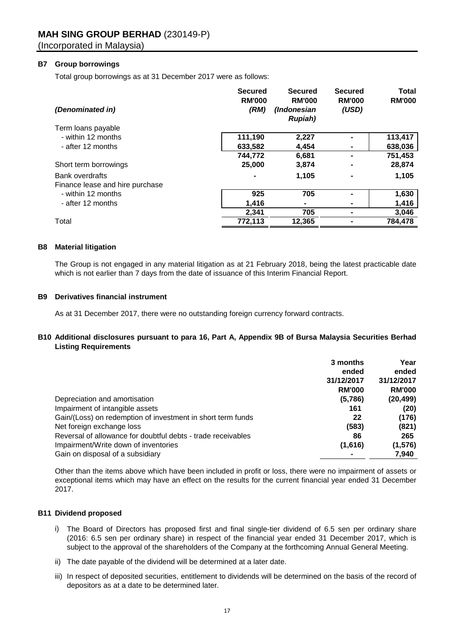# **B7 Group borrowings**

Total group borrowings as at 31 December 2017 were as follows:

| (Denominated in)                | <b>Secured</b><br><b>RM'000</b><br>(RM) | <b>Secured</b><br><b>RM'000</b><br>(Indonesian<br><b>Rupiah</b> ) | <b>Secured</b><br><b>RM'000</b><br>(USD) | <b>Total</b><br><b>RM'000</b> |
|---------------------------------|-----------------------------------------|-------------------------------------------------------------------|------------------------------------------|-------------------------------|
| Term loans payable              |                                         |                                                                   |                                          |                               |
| - within 12 months              | 111,190                                 | 2,227                                                             |                                          | 113,417                       |
| - after 12 months               | 633,582                                 | 4,454                                                             |                                          | 638,036                       |
|                                 | 744,772                                 | 6,681                                                             |                                          | 751,453                       |
| Short term borrowings           | 25,000                                  | 3,874                                                             |                                          | 28,874                        |
| <b>Bank overdrafts</b>          |                                         | 1,105                                                             |                                          | 1,105                         |
| Finance lease and hire purchase |                                         |                                                                   |                                          |                               |
| - within 12 months              | 925                                     | 705                                                               |                                          | 1,630                         |
| - after 12 months               | 1,416                                   | ۰                                                                 |                                          | 1,416                         |
|                                 | 2,341                                   | 705                                                               |                                          | 3,046                         |
| Total                           | 772,113                                 | 12,365                                                            |                                          | 784.478                       |

#### **B8 Material litigation**

The Group is not engaged in any material litigation as at 21 February 2018, being the latest practicable date which is not earlier than 7 days from the date of issuance of this Interim Financial Report.

# **B9 Derivatives financial instrument**

As at 31 December 2017, there were no outstanding foreign currency forward contracts.

# **B10 Additional disclosures pursuant to para 16, Part A, Appendix 9B of Bursa Malaysia Securities Berhad Listing Requirements**

|                                                              | 3 months      | Year          |
|--------------------------------------------------------------|---------------|---------------|
|                                                              | ended         | ended         |
|                                                              | 31/12/2017    | 31/12/2017    |
|                                                              | <b>RM'000</b> | <b>RM'000</b> |
| Depreciation and amortisation                                | (5,786)       | (20, 499)     |
| Impairment of intangible assets                              | 161           | (20)          |
| Gain/(Loss) on redemption of investment in short term funds  | 22            | (176)         |
| Net foreign exchange loss                                    | (583)         | (821)         |
| Reversal of allowance for doubtful debts - trade receivables | 86            | 265           |
| Impairment/Write down of inventories                         | (1,616)       | (1, 576)      |
| Gain on disposal of a subsidiary                             |               | 7,940         |

Other than the items above which have been included in profit or loss, there were no impairment of assets or exceptional items which may have an effect on the results for the current financial year ended 31 December 2017.

#### **B11 Dividend proposed**

- i) The Board of Directors has proposed first and final single-tier dividend of 6.5 sen per ordinary share (2016: 6.5 sen per ordinary share) in respect of the financial year ended 31 December 2017, which is subject to the approval of the shareholders of the Company at the forthcoming Annual General Meeting.
- ii) The date payable of the dividend will be determined at a later date.
- iii) In respect of deposited securities, entitlement to dividends will be determined on the basis of the record of depositors as at a date to be determined later.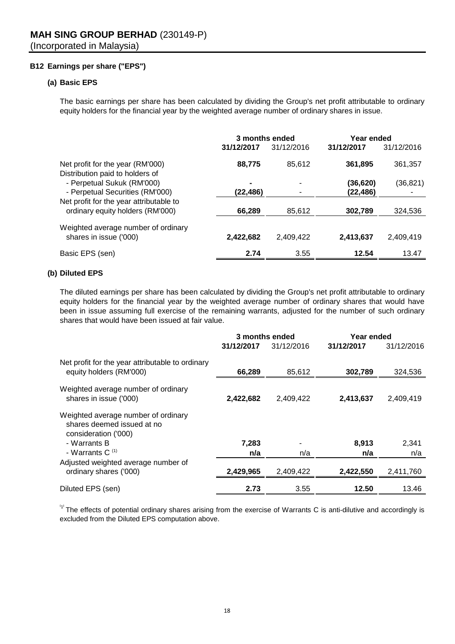# **B12 Earnings per share ("EPS")**

# **(a) Basic EPS**

The basic earnings per share has been calculated by dividing the Group's net profit attributable to ordinary equity holders for the financial year by the weighted average number of ordinary shares in issue.

|                                                                             | 3 months ended |            | Year ended |            |
|-----------------------------------------------------------------------------|----------------|------------|------------|------------|
|                                                                             | 31/12/2017     | 31/12/2016 | 31/12/2017 | 31/12/2016 |
| Net profit for the year (RM'000)<br>Distribution paid to holders of         | 88,775         | 85,612     | 361,895    | 361,357    |
| - Perpetual Sukuk (RM'000)                                                  |                |            | (36, 620)  | (36, 821)  |
| - Perpetual Securities (RM'000)                                             | (22, 486)      |            | (22, 486)  |            |
| Net profit for the year attributable to<br>ordinary equity holders (RM'000) | 66,289         | 85,612     | 302,789    | 324,536    |
| Weighted average number of ordinary<br>shares in issue ('000)               | 2,422,682      | 2.409.422  | 2,413,637  | 2.409.419  |
| Basic EPS (sen)                                                             | 2.74           | 3.55       | 12.54      | 13.47      |

# **(b) Diluted EPS**

The diluted earnings per share has been calculated by dividing the Group's net profit attributable to ordinary equity holders for the financial year by the weighted average number of ordinary shares that would have been in issue assuming full exercise of the remaining warrants, adjusted for the number of such ordinary shares that would have been issued at fair value.

|                                                                                           | 3 months ended |            | Year ended |            |  |
|-------------------------------------------------------------------------------------------|----------------|------------|------------|------------|--|
|                                                                                           | 31/12/2017     | 31/12/2016 | 31/12/2017 | 31/12/2016 |  |
| Net profit for the year attributable to ordinary<br>equity holders (RM'000)               | 66,289         | 85,612     | 302,789    | 324,536    |  |
| Weighted average number of ordinary<br>shares in issue ('000)                             | 2,422,682      | 2,409,422  | 2,413,637  | 2,409,419  |  |
| Weighted average number of ordinary<br>shares deemed issued at no<br>consideration ('000) |                |            |            |            |  |
| - Warrants B                                                                              | 7.283          |            | 8.913      | 2,341      |  |
| - Warrants C $(1)$                                                                        | n/a            | n/a        | n/a        | n/a        |  |
| Adjusted weighted average number of                                                       |                |            |            |            |  |
| ordinary shares ('000)                                                                    | 2,429,965      | 2,409,422  | 2,422,550  | 2,411,760  |  |
| Diluted EPS (sen)                                                                         | 2.73           | 3.55       | 12.50      | 13.46      |  |

 $'1$  The effects of potential ordinary shares arising from the exercise of Warrants C is anti-dilutive and accordingly is excluded from the Diluted EPS computation above.